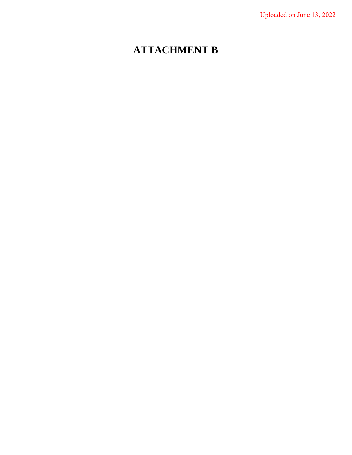# **ATTACHMENT B**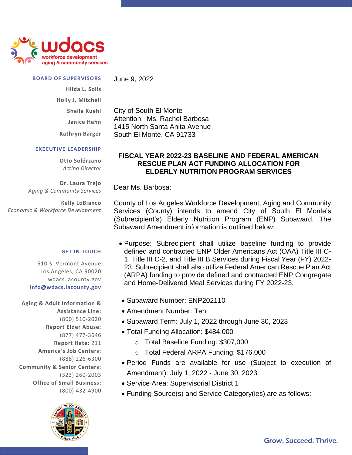

### **BOARD OF SUPERVISORS**

June 9, 2022

City of South El Monte

Attention: Ms. Rachel Barbosa 1415 North Santa Anita Avenue

South El Monte, CA 91733

**Hilda L. Solis Holly J. Mitchell Sheila Kuehl**

**Janice Hahn**

**Kathryn Barger**

### **EXECUTIVE LEADERSHIP**

**Otto Solórzano** *Acting Director*

**Dr. Laura Trejo** *Aging & Community Services*

**Kelly LoBianco** *Economic & Workforce Development*

#### **GET IN TOUCH**

510 S. Vermont Avenue Los Angeles, CA 90020 wdacs.lacounty.gov **info@wdacs.lacounty.gov**

**Aging & Adult Information & Assistance Line:** (800) 510-2020 **Report Elder Abuse:** (877) 477-3646 **Report Hate:** 211 **America's Job Centers:** (888) 226-6300 **Community & Senior Centers:** (323) 260-2003 **Office of Small Business:** (800) 432-4900



## **FISCAL YEAR 2022-23 BASELINE AND FEDERAL AMERICAN RESCUE PLAN ACT FUNDING ALLOCATION FOR ELDERLY NUTRITION PROGRAM SERVICES**

Dear Ms. Barbosa:

County of Los Angeles Workforce Development, Aging and Community Services (County) intends to amend City of South El Monte's (Subrecipient's) Elderly Nutrition Program (ENP) Subaward. The Subaward Amendment information is outlined below:

- Purpose: Subrecipient shall utilize baseline funding to provide defined and contracted ENP Older Americans Act (OAA) Title III C-1, Title III C-2, and Title III B Services during Fiscal Year (FY) 2022- 23. Subrecipient shall also utilize Federal American Rescue Plan Act (ARPA) funding to provide defined and contracted ENP Congregate and Home-Delivered Meal Services during FY 2022-23.
- Subaward Number: ENP202110
- Amendment Number: Ten
- Subaward Term: July 1, 2022 through June 30, 2023
- Total Funding Allocation: \$484,000
	- o Total Baseline Funding: \$307,000
	- o Total Federal ARPA Funding: \$176,000
- Period Funds are available for use (Subject to execution of Amendment): July 1, 2022 - June 30, 2023
- Service Area: Supervisorial District 1
- Funding Source(s) and Service Category(ies) are as follows: